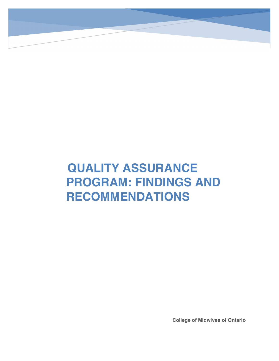# **QUALITY ASSURANCE PROGRAM: FINDINGS AND RECOMMENDATIONS**

**College of Midwives of Ontario**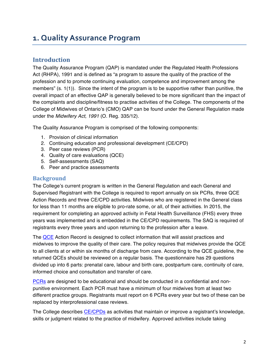# **1. Quality Assurance Program**

# **Introduction**

The Quality Assurance Program (QAP) is mandated under the Regulated Health Professions Act (RHPA), 1991 and is defined as "a program to assure the quality of the practice of the profession and to promote continuing evaluation, competence and improvement among the members" (s. 1(1)). Since the intent of the program is to be supportive rather than punitive, the overall impact of an effective QAP is generally believed to be more significant than the impact of the complaints and discipline/fitness to practise activities of the College. The components of the College of Midwives of Ontario's (CMO) QAP can be found under the General Regulation made under the *Midwifery Act, 1991* (O. Reg. 335/12)*.*

The Quality Assurance Program is comprised of the following components:

- 1. Provision of clinical information
- 2. Continuing education and professional development (CE/CPD)
- 3. Peer case reviews (PCR)
- 4. Quality of care evaluations (QCE)
- 5. Self-assessments (SAQ)
- 6. Peer and practice assessments

### **Background**

The College's current program is written in the General Regulation and each General and Supervised Registrant with the College is required to report annually on six PCRs, three QCE Action Records and three CE/CPD activities. Midwives who are registered in the General class for less than 11 months are eligible to pro-rate some, or all, of their activities. In 2015, the requirement for completing an approved activity in Fetal Health Surveillance (FHS) every three years was implemented and is embedded in the CE/CPD requirements. The SAQ is required of registrants every three years and upon returning to the profession after a leave.

The QCE Action Record is designed to collect information that will assist practices and midwives to improve the quality of their care. The policy requires that midwives provide the QCE to all clients at or within six months of discharge from care. According to the QCE guideline, the returned QCEs should be reviewed on a regular basis. The questionnaire has 29 questions divided up into 6 parts: prenatal care, labour and birth care, postpartum care, continuity of care, informed choice and consultation and transfer of care.

PCRs are designed to be educational and should be conducted in a confidential and nonpunitive environment. Each PCR must have a minimum of four midwives from at least two different practice groups. Registrants must report on 6 PCRs every year but two of these can be replaced by interprofessional case reviews.

The College describes CE/CPDs as activities that maintain or improve a registrant's knowledge, skills or judgment related to the practice of midwifery. Approved activities include taking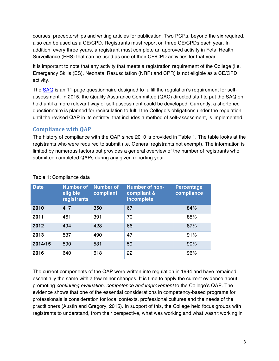courses, preceptorships and writing articles for publication. Two PCRs, beyond the six required, also can be used as a CE/CPD. Registrants must report on three CE/CPDs each year. In addition, every three years, a registrant must complete an approved activity in Fetal Health Surveillance (FHS) that can be used as one of their CE/CPD activities for that year.

It is important to note that any activity that meets a registration requirement of the College (i.e. Emergency Skills (ES), Neonatal Resuscitation (NRP) and CPR) is not eligible as a CE/CPD activity.

The SAQ is an 11-page questionnaire designed to fulfill the regulation's requirement for selfassessment. In 2015, the Quality Assurance Committee (QAC) directed staff to put the SAQ on hold until a more relevant way of self-assessment could be developed. Currently, a shortened questionnaire is planned for recirculation to fulfill the College's obligations under the regulation until the revised QAP in its entirety, that includes a method of self-assessment, is implemented.

# **Compliance** with OAP

The history of compliance with the QAP since 2010 is provided in Table 1. The table looks at the registrants who were required to submit (i.e. General registrants not exempt). The information is limited by numerous factors but provides a general overview of the number of registrants who submitted completed QAPs during any given reporting year.

| <b>Date</b> | <b>Number</b> of<br>eligible<br>registrants | <b>Number of</b><br>compliant | <b>Number of non-</b><br>compliant &<br>incomplete | <b>Percentage</b><br>compliance |
|-------------|---------------------------------------------|-------------------------------|----------------------------------------------------|---------------------------------|
| 2010        | 417                                         | 350                           | 67                                                 | 84%                             |
| 2011        | 461                                         | 391                           | 70                                                 | 85%                             |
| 2012        | 494                                         | 428                           | 66                                                 | 87%                             |
| 2013        | 537                                         | 490                           | 47                                                 | 91%                             |
| 2014/15     | 590                                         | 531                           | 59                                                 | 90%                             |
| 2016        | 640                                         | 618                           | 22                                                 | 96%                             |

#### Table 1: Compliance data

The current components of the QAP were written into regulation in 1994 and have remained essentially the same with a few minor changes. It is time to apply the current evidence about promoting *continuing evaluation, competence and improvement* to the College's QAP. The evidence shows that one of the essential considerations in competency-based programs for professionals is consideration for local contexts, professional cultures and the needs of the practitioners (Austin and Gregory, 2015). In support of this, the College held focus groups with registrants to understand, from their perspective, what was working and what wasn't working in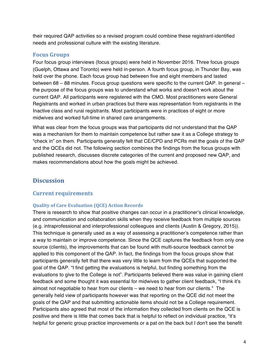their required QAP activities so a revised program could combine these registrant-identified needs and professional culture with the existing literature.

#### **Focus Groups**

Four focus group interviews (focus groups) were held in November 2016. Three focus groups (Guelph, Ottawa and Toronto) were held in-person. A fourth focus group, in Thunder Bay, was held over the phone. Each focus group had between five and eight members and lasted between 68 – 88 minutes. Focus group questions were specific to the current QAP. In general – the purpose of the focus groups was to understand what works and doesn't work about the current QAP. All participants were registered with the CMO. Most practitioners were General Registrants and worked in urban practices but there was representation from registrants in the Inactive class and rural registrants. Most participants were in practices of eight or more midwives and worked full-time in shared care arrangements.

What was clear from the focus groups was that participants did not understand that the QAP was a mechanism for them to maintain competence but rather saw it as a College strategy to "check in" on them. Participants generally felt that CE/CPD and PCRs met the goals of the QAP and the QCEs did not. The following section combines the findings from the focus groups with published research, discusses discrete categories of the current and proposed new QAP, and makes recommendations about how the goals might be achieved.

# **Discussion**

# **Current requirements**

#### **Quality of Care Evaluation (QCE) Action Records**

There is research to show that positive changes can occur in a practitioner's clinical knowledge, and communication and collaboration skills when they receive feedback from multiple sources (e.g. intraprofessional and interprofessional colleagues and clients (Austin & Gregory, 2015)). This technique is generally used as a way of assessing a practitioner's competence rather than a way to maintain or improve competence. Since the QCE captures the feedback from only one source (clients), the improvements that can be found with multi-source feedback cannot be applied to this component of the QAP. In fact, the findings from the focus groups show that participants generally felt that there was very little to learn from the QCEs that supported the goal of the QAP. "I find getting the evaluations is helpful, but finding something from the evaluations to give to the College is not". Participants believed there was value in gaining client feedback and some thought it was essential for midwives to gather client feedback, "I think it's almost not negotiable to hear from our clients – we need to hear from our clients." The generally held view of participants however was that reporting on the QCE did not meet the goals of the QAP and that submitting actionable items should not be a College requirement. Participants also agreed that most of the information they collected from clients on the QCE is positive and there is little that comes back that is helpful to reflect on individual practice, "it's helpful for generic group practice improvements or a pat on the back but I don't see the benefit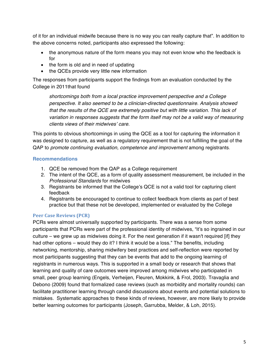of it for an individual midwife because there is no way you can really capture that". In addition to the above concerns noted, participants also expressed the following:

- the anonymous nature of the form means you may not even know who the feedback is for
- the form is old and in need of updating
- the QCEs provide very little new information

The responses from participants support the findings from an evaluation conducted by the College in 2011that found

*shortcomings both from a local practice improvement perspective and a College perspective. It also seemed to be a clinician-directed questionnaire. Analysis showed that the results of the QCE are extremely positive but with little variation. This lack of variation in responses suggests that the form itself may not be a valid way of measuring clients views of their midwives' care.* 

This points to obvious shortcomings in using the QCE as a tool for capturing the information it was designed to capture, as well as a regulatory requirement that is not fulfilling the goal of the QAP to *promote continuing evaluation, competence and improvement* among registrants.

#### **Recommendations**

- 1. QCE be removed from the QAP as a College requirement
- 2. The intent of the QCE, as a form of quality assessment measurement, be included in the *Professional Standards* for midwives
- 3. Registrants be informed that the College's QCE is not a valid tool for capturing client feedback
- 4. Registrants be encouraged to continue to collect feedback from clients as part of best practice but that these not be developed, implemented or evaluated by the College

# **Peer Case Reviews (PCR)**

PCRs were almost universally supported by participants. There was a sense from some participants that PCRs were part of the professional identity of midwives, "it's so ingrained in our culture – we grew up as midwives doing it. For the next generation if it wasn't required [if] they had other options – would they do it? I think it would be a loss." The benefits, including networking, mentorship, sharing midwifery best practices and self-reflection were reported by most participants suggesting that they can be events that add to the ongoing learning of registrants in numerous ways. This is supported in a small body or research that shows that learning and quality of care outcomes were improved among midwives who participated in small, peer group learning (Engels, Verheijen, Fleuren, Mokkink, & Frol, 2003). Travaglia and Debono (2009) found that formalized case reviews (such as morbidity and mortality rounds) can facilitate practitioner learning through candid discussions about events and potential solutions to mistakes. Systematic approaches to these kinds of reviews, however, are more likely to provide better learning outcomes for participants (Joseph, Garrubba, Melder, & Loh, 2015).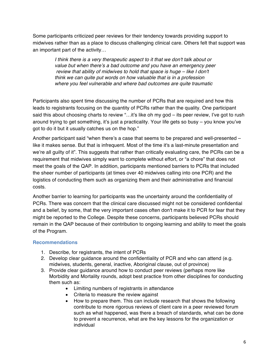Some participants criticized peer reviews for their tendency towards providing support to midwives rather than as a place to discuss challenging clinical care. Others felt that support was an important part of the activity…

> *I think there is a very therapeutic aspect to it that we don't talk about or value but when there's a bad outcome and you have an emergency peer review that ability of midwives to hold that space is huge – like I don't think we can quite put words on how valuable that is in a profession where you feel vulnerable and where bad outcomes are quite traumatic*

Participants also spent time discussing the number of PCRs that are required and how this leads to registrants focusing on the quantity of PCRs rather than the quality. One participant said this about choosing charts to review "…it's like oh my god – its peer review, I've got to rush around trying to get something, it's just a practicality. Your life gets so busy – you know you've got to do it but it usually catches us on the hop."

Another participant said "when there's a case that seems to be prepared and well-presented – like it makes sense. But that is infrequent. Most of the time it's a last-minute presentation and we're all guilty of it". This suggests that rather than critically evaluating care, the PCRs can be a requirement that midwives simply want to complete without effort, or "a chore" that does not meet the goals of the QAP. In addition, participants mentioned barriers to PCRs that included the sheer number of participants (at times over 40 midwives calling into one PCR) and the logistics of conducting them such as organizing them and their administrative and financial costs.

Another barrier to learning for participants was the uncertainty around the confidentiality of PCRs. There was concern that the clinical care discussed might not be considered confidential and a belief, by some, that the very important cases often don't make it to PCR for fear that they might be reported to the College. Despite these concerns, participants believed PCRs should remain in the QAP because of their contribution to ongoing learning and ability to meet the goals of the Program.

#### **Recommendations**

- 1. Describe, for registrants, the intent of PCRs
- 2. Develop clear guidance around the confidentiality of PCR and who can attend (e.g. midwives, students, general, inactive, Aboriginal clause, out of province)
- 3. Provide clear guidance around how to conduct peer reviews (perhaps more like Morbidity and Mortality rounds, adopt best practice from other disciplines for conducting them such as:
	- Limiting numbers of registrants in attendance
	- Criteria to measure the review against
	- How to prepare them. This can include research that shows the following contribute to more rigorous reviews of client care in a peer reviewed forum such as what happened, was there a breach of standards, what can be done to prevent a recurrence, what are the key lessons for the organization or individual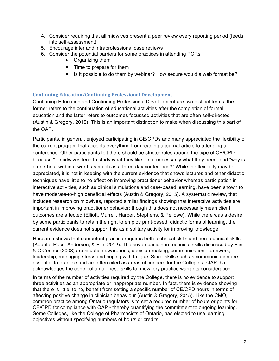- 4. Consider requiring that all midwives present a peer review every reporting period (feeds into self-assessment)
- 5. Encourage inter and intraprofessional case reviews
- 6. Consider the potential barriers for some practices in attending PCRs
	- Organizing them
	- Time to prepare for them
	- Is it possible to do them by webinar? How secure would a web format be?

#### **Continuing Education/Continuing Professional Development**

Continuing Education and Continuing Professional Development are two distinct terms; the former refers to the continuation of educational activities after the completion of formal education and the latter refers to outcomes focussed activities that are often self-directed (Austin & Gregory, 2015). This is an important distinction to make when discussing this part of the QAP.

Participants, in general, enjoyed participating in CE/CPDs and many appreciated the flexibility of the current program that accepts everything from reading a journal article to attending a conference. Other participants felt there should be stricter rules around the type of CE/CPD because "…midwives tend to study what they like – not necessarily what they need" and "why is a one-hour webinar worth as much as a three-day conference?" While the flexibility may be appreciated, it is not in keeping with the current evidence that shows lectures and other didactic techniques have little to no effect on improving practitioner behavior whereas participation in interactive activities, such as clinical simulations and case-based learning, have been shown to have moderate-to-high beneficial effects (Austin & Gregory, 2015). A systematic review, that includes research on midwives, reported similar findings showing that interactive activities are important in improving practitioner behavior; though this does not necessarily mean client outcomes are affected (Elliott, Murrell, Harper, Stephens, & Pellowe). While there was a desire by some participants to retain the right to employ print-based, didactic forms of learning, the current evidence does not support this as a solitary activity for improving knowledge.

Research shows that competent practice requires both technical skills and non-technical skills (Kodate, Ross, Anderson, & Flin, 2012). The seven basic non-technical skills discussed by Flin & O'Connor (2008) are situation awareness, decision-making, communication, teamwork, leadership, managing stress and coping with fatigue. Since skills such as communication are essential to practice and are often cited as areas of concern for the College, a QAP that acknowledges the contribution of these skills to midwifery practice warrants consideration.

In terms of the number of activities required by the College, there is no evidence to support three activities as an appropriate or inappropriate number. In fact, there is evidence showing that there is little, to no, benefit from setting a specific number of CE/CPD hours in terms of affecting positive change in clinician behaviour (Austin & Gregory, 2015). Like the CMO, common practice among Ontario regulators is to set a required number of hours or points for CE/CPD for compliance with QAP - thereby quantifying the commitment to ongoing learning. Some Colleges, like the College of Pharmacists of Ontario, has elected to use learning objectives without specifying numbers of hours or credits.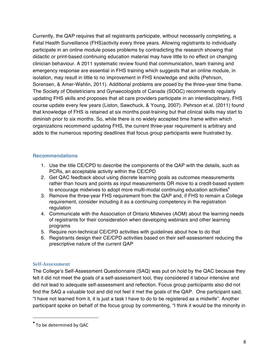Currently, the QAP requires that all registrants participate, without necessarily completing, a Fetal Health Surveillance (FHS)activity every three years. Allowing registrants to individually participate in an online module poses problems by contradicting the research showing that didactic or print-based continuing education material may have little to no effect on changing clinician behaviour. A 2011 systematic review found that communication, team training and emergency response are essential in FHS training which suggests that an online module, in isolation, may result in little to no improvement in FHS knowledge and skills (Pehrson, Sorensen, & Amer-Wahlin, 2011). Additional problems are posed by the three-year time frame. The Society of Obstetricians and Gynaecologists of Canada (SOGC) recommends regularly updating FHS skills and proposes that all care providers participate in an interdisciplinary, FHS course update every few years (Liston, Sawchuck, & Young, 2007). Pehrson et al. (2011) found that knowledge of FHS is retained at six months post-training but that clinical skills may start to diminish prior to six months. So, while there is no widely accepted time frame within which organizations recommend updating FHS, the current three-year requirement is arbitrary and adds to the numerous reporting deadlines that focus group participants were frustrated by.

#### **Recommendations**

- 1. Use the title CE/CPD to describe the components of the QAP with the details, such as PCRs, an acceptable activity within the CE/CPD
- 2. Get QAC feedback about using discrete learning goals as outcomes measurements rather than hours and points as input measurements OR move to a credit-based system to encourage midwives to adopt more multi-modal continuing education activities\*
- 3. Remove the three-year FHS requirement from the QAP and, if FHS to remain a College requirement, consider including it as a continuing competency in the registration regulation
- 4. Communicate with the Association of Ontario Midwives (AOM) about the learning needs of registrants for their consideration when developing webinars and other learning programs
- 5. Require non-technical CE/CPD activities with guidelines about how to do that
- 6. Registrants design their CE/CPD activities based on their self-assessment reducing the prescriptive nature of the current QAP

#### **Self-Assessment**

The College's Self-Assessment Questionnaire (SAQ) was put on hold by the QAC because they felt it did not meet the goals of a self-assessment tool, they considered it labour intensive and did not lead to adequate self-assessment and reflection. Focus group participants also did not find the SAQ a valuable tool and did not feel it met the goals of the QAP. One participant said, "I have not learned from it, it is just a task I have to do to be registered as a midwife". Another participant spoke on behalf of the focus group by commenting, "I think it would be the minority in

 

<sup>\*</sup> To be determined by QAC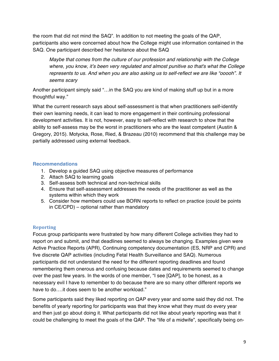the room that did not mind the SAQ". In addition to not meeting the goals of the QAP, participants also were concerned about how the College might use information contained in the SAQ. One participant described her hesitance about the SAQ

*Maybe that comes from the culture of our profession and relationship with the College where, you know, it's been very regulated and almost punitive so that's what the College represents to us. And when you are also asking us to self-reflect we are like "ooooh". It seems scary*

Another participant simply said "…in the SAQ you are kind of making stuff up but in a more thoughtful way."

What the current research says about self-assessment is that when practitioners self-identify their own learning needs, it can lead to more engagement in their continuing professional development activities. It is not, however, easy to self-reflect with research to show that the ability to self-assess may be the worst in practitioners who are the least competent (Austin & Gregory, 2015). Motycka, Rose, Ried, & Brazeau (2010) recommend that this challenge may be partially addressed using external feedback.

#### **Recommendations**

- 1. Develop a guided SAQ using objective measures of performance
- 2. Attach SAQ to learning goals
- 3. Self-assess both technical and non-technical skills
- 4. Ensure that self-assessment addresses the needs of the practitioner as well as the systems within which they work
- 5. Consider how members could use BORN reports to reflect on practice (could be points in CE/CPD) – optional rather than mandatory

#### **Reporting**

Focus group participants were frustrated by how many different College activities they had to report on and submit, and that deadlines seemed to always be changing. Examples given were Active Practice Reports (APR), Continuing competency documentation (ES, NRP and CPR) and five discrete QAP activities (including Fetal Health Surveillance and SAQ). Numerous participants did not understand the need for the different reporting deadlines and found remembering them onerous and confusing because dates and requirements seemed to change over the past few years. In the words of one member, "I see [QAP], to be honest, as a necessary evil I have to remember to do because there are so many other different reports we have to do….it does seem to be another workload."

Some participants said they liked reporting on QAP every year and some said they did not. The benefits of yearly reporting for participants was that they know what they must do every year and then just go about doing it. What participants did not like about yearly reporting was that it could be challenging to meet the goals of the QAP. The "life of a midwife", specifically being on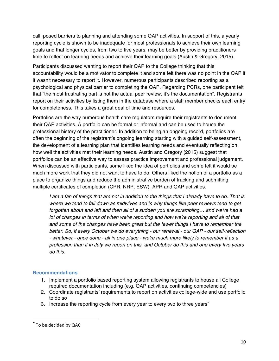call, posed barriers to planning and attending some QAP activities. In support of this, a yearly reporting cycle is shown to be inadequate for most professionals to achieve their own learning goals and that longer cycles, from two to five years, may be better by providing practitioners time to reflect on learning needs and achieve their learning goals (Austin & Gregory, 2015).

Participants discussed wanting to report their QAP to the College thinking that this accountability would be a motivator to complete it and some felt there was no point in the QAP if it wasn't necessary to report it. However, numerous participants described reporting as a psychological and physical barrier to completing the QAP. Regarding PCRs, one participant felt that "the most frustrating part is not the actual peer review, it's the documentation". Registrants report on their activities by listing them in the database where a staff member checks each entry for completeness. This takes a great deal of time and resources.

Portfolios are the way numerous health care regulators require their registrants to document their QAP activities. A portfolio can be formal or informal and can be used to house the professional history of the practitioner. In addition to being an ongoing record, portfolios are often the beginning of the registrant's ongoing learning starting with a guided self-assessment, the development of a learning plan that identifies learning needs and eventually reflecting on how well the activities met their learning needs. Austin and Gregory (2015) suggest that portfolios can be an effective way to assess practice improvement and professional judgement. When discussed with participants, some liked the idea of portfolios and some felt it would be much more work that they did not want to have to do. Others liked the notion of a portfolio as a place to organize things and reduce the administrative burden of tracking and submitting multiple certificates of completion (CPR, NRP, ESW), APR and QAP activities.

*I am a fan of things that are not in addition to the things that I already have to do. That is where we tend to fall down as midwives and is why things like peer reviews tend to get forgotten about and left and then all of a sudden you are scrambling….and we've had a lot of changes in terms of when we're reporting and how we're reporting and all of that and some of the changes have been great but the fewer things I have to remember the better. So, if every October we do everything - our renewal - our QAP - our self-reflection - whatever - once done - all in one place - we're much more likely to remember it as a profession than if in July we report on this, and October do this and one every five years do this.*

#### **Recommendations**

- 1. Implement a portfolio based reporting system allowing registrants to house all College required documentation including (e.g. QAP activities, continuing competencies)
- 2. Coordinate registrants' requirements to report on activities college-wide and use portfolio to do so
- 3. Increase the reporting cycle from every year to every two to three years<sup>\*</sup>

 

<sup>\*</sup> To be decided by QAC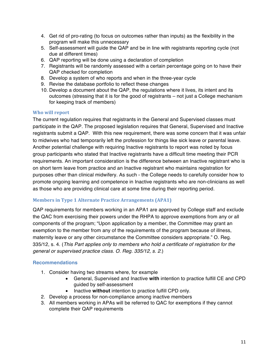- 4. Get rid of pro-rating (to focus on outcomes rather than inputs) as the flexibility in the program will make this unnecessary
- 5. Self-assessment will guide the QAP and be in line with registrants reporting cycle (not due at different times)
- 6. QAP reporting will be done using a declaration of completion
- 7. Registrants will be randomly assessed with a certain percentage going on to have their QAP checked for completion
- 8. Develop a system of who reports and when in the three-year cycle
- 9. Revise the database portfolio to reflect these changes
- 10. Develop a document about the QAP, the regulations where it lives, its intent and its outcomes (stressing that it is for the good of registrants – not just a College mechanism for keeping track of members)

#### **Who will report**

The current regulation requires that registrants in the General and Supervised classes must participate in the QAP. The proposed legislation requires that General, Supervised and Inactive registrants submit a QAP. With this new requirement, there was some concern that it was unfair to midwives who had temporarily left the profession for things like sick leave or parental leave. Another potential challenge with requiring Inactive registrants to report was noted by focus group participants who stated that Inactive registrants have a difficult time meeting their PCR requirements. An important consideration is the difference between an Inactive registrant who is on short term leave from practice and an Inactive registrant who maintains registration for purposes other than clinical midwifery. As such - the College needs to carefully consider how to promote ongoing learning and competence in Inactive registrants who are non-clinicians as well as those who are providing clinical care at some time during their reporting period.

#### **Members in Type 1 Alternate Practice Arrangements (APA1)**

QAP requirements for members working in an APA1 are approved by College staff and exclude the QAC from exercising their powers under the RHPA to approve exemptions from any or all components of the program; "Upon application by a member, the Committee may grant an exemption to the member from any of the requirements of the program because of illness, maternity leave or any other circumstance the Committee considers appropriate." O. Reg. 335/12, s. 4. (*This Part applies only to members who hold a certificate of registration for the general or supervised practice class. O. Reg. 335/12, s. 2.*)

#### **Recommendations**

- 1. Consider having two streams where, for example
	- General, Supervised and Inactive **with** intention to practice fulfill CE and CPD guided by self-assessment
	- Inactive **without** intention to practice fulfill CPD only.
- 2. Develop a process for non-compliance among inactive members
- 3. All members working in APAs will be referred to QAC for exemptions if they cannot complete their QAP requirements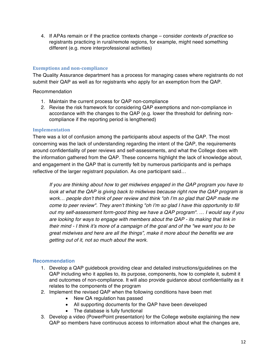4. If APAs remain or if the practice contexts change – consider *contexts of practice* so registrants practicing in rural/remote regions, for example, might need something different (e.g. more interprofessional activities)

#### **Exemptions and non-compliance**

The Quality Assurance department has a process for managing cases where registrants do not submit their QAP as well as for registrants who apply for an exemption from the QAP.

Recommendation

- 1. Maintain the current process for QAP non-compliance
- 2. Revise the risk framework for considering QAP exemptions and non-compliance in accordance with the changes to the QAP (e.g. lower the threshold for defining noncompliance if the reporting period is lengthened)

#### **Implementation**

There was a lot of confusion among the participants about aspects of the QAP. The most concerning was the lack of understanding regarding the intent of the QAP, the requirements around confidentiality of peer reviews and self-assessments, and what the College does with the information gathered from the QAP. These concerns highlight the lack of knowledge about, and engagement in the QAP that is currently felt by numerous participants and is perhaps reflective of the larger registrant population. As one participant said…

*If you are thinking about how to get midwives engaged in the QAP program you have to look at what the QAP is giving back to midwives because right now the QAP program is work… people don't think of peer review and think "oh I'm so glad that QAP made me come to peer review". They aren't thinking "oh I'm so glad I have this opportunity to fill out my self-assessment form-good thing we have a QAP program". … I would say if you are looking for ways to engage with members about the QAP - its making that link in their mind - I think it's more of a campaign of the goal and of the "we want you to be great midwives and here are all the things", make it more about the benefits we are getting out of it, not so much about the work.*

#### **Recommendation**

- 1. Develop a QAP guidebook providing clear and detailed instructions/guidelines on the QAP including who it applies to, its purpose, components, how to complete it, submit it and outcomes of non-compliance. It will also provide guidance about confidentiality as it relates to the components of the program
- 2. Implement the revised QAP when the following conditions have been met
	- New QA regulation has passed
	- All supporting documents for the QAP have been developed
	- The database is fully functional
- 3. Develop a video (PowerPoint presentation) for the College website explaining the new QAP so members have continuous access to information about what the changes are,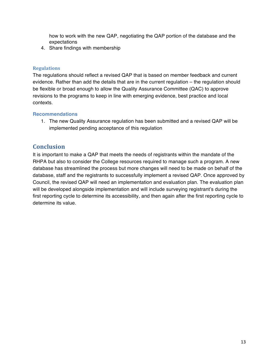how to work with the new QAP, negotiating the QAP portion of the database and the expectations

4. Share findings with membership

#### **Regulations**

The regulations should reflect a revised QAP that is based on member feedback and current evidence. Rather than add the details that are in the current regulation – the regulation should be flexible or broad enough to allow the Quality Assurance Committee (QAC) to approve revisions to the programs to keep in line with emerging evidence, best practice and local contexts.

#### **Recommendations**

1. The new Quality Assurance regulation has been submitted and a revised QAP will be implemented pending acceptance of this regulation

# **Conclusion**

It is important to make a QAP that meets the needs of registrants within the mandate of the RHPA but also to consider the College resources required to manage such a program. A new database has streamlined the process but more changes will need to be made on behalf of the database, staff and the registrants to successfully implement a revised QAP. Once approved by Council, the revised QAP will need an implementation and evaluation plan. The evaluation plan will be developed alongside implementation and will include surveying registrant's during the first reporting cycle to determine its accessibility, and then again after the first reporting cycle to determine its value.